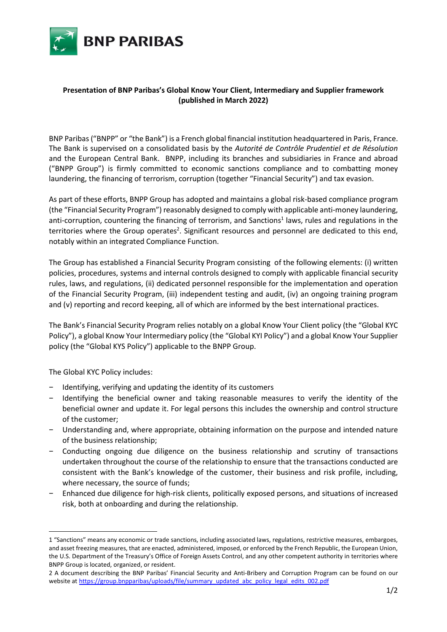

## Presentation of BNP Paribas's Global Know Your Client, Intermediary and Supplier framework (published in March 2022)

BNP Paribas ("BNPP" or "the Bank") is a French global financial institution headquartered in Paris, France. The Bank is supervised on a consolidated basis by the Autorité de Contrôle Prudentiel et de Résolution and the European Central Bank. BNPP, including its branches and subsidiaries in France and abroad ("BNPP Group") is firmly committed to economic sanctions compliance and to combatting money laundering, the financing of terrorism, corruption (together "Financial Security") and tax evasion.

As part of these efforts, BNPP Group has adopted and maintains a global risk-based compliance program (the "Financial Security Program") reasonably designed to comply with applicable anti-money laundering, anti-corruption, countering the financing of terrorism, and Sanctions<sup>1</sup> laws, rules and regulations in the territories where the Group operates<sup>2</sup>. Significant resources and personnel are dedicated to this end, notably within an integrated Compliance Function.

The Group has established a Financial Security Program consisting of the following elements: (i) written policies, procedures, systems and internal controls designed to comply with applicable financial security rules, laws, and regulations, (ii) dedicated personnel responsible for the implementation and operation of the Financial Security Program, (iii) independent testing and audit, (iv) an ongoing training program and (v) reporting and record keeping, all of which are informed by the best international practices.

The Bank's Financial Security Program relies notably on a global Know Your Client policy (the "Global KYC Policy"), a global Know Your Intermediary policy (the "Global KYI Policy") and a global Know Your Supplier policy (the "Global KYS Policy") applicable to the BNPP Group.

The Global KYC Policy includes:

-

- − Identifying, verifying and updating the identity of its customers
- − Identifying the beneficial owner and taking reasonable measures to verify the identity of the beneficial owner and update it. For legal persons this includes the ownership and control structure of the customer;
- − Understanding and, where appropriate, obtaining information on the purpose and intended nature of the business relationship;
- − Conducting ongoing due diligence on the business relationship and scrutiny of transactions undertaken throughout the course of the relationship to ensure that the transactions conducted are consistent with the Bank's knowledge of the customer, their business and risk profile, including, where necessary, the source of funds;
- − Enhanced due diligence for high-risk clients, politically exposed persons, and situations of increased risk, both at onboarding and during the relationship.

<sup>1 &</sup>quot;Sanctions" means any economic or trade sanctions, including associated laws, regulations, restrictive measures, embargoes, and asset freezing measures, that are enacted, administered, imposed, or enforced by the French Republic, the European Union, the U.S. Department of the Treasury's Office of Foreign Assets Control, and any other competent authority in territories where BNPP Group is located, organized, or resident.

<sup>2</sup> A document describing the BNP Paribas' Financial Security and Anti-Bribery and Corruption Program can be found on our website at https://group.bnpparibas/uploads/file/summary\_updated\_abc\_policy\_legal\_edits\_002.pdf